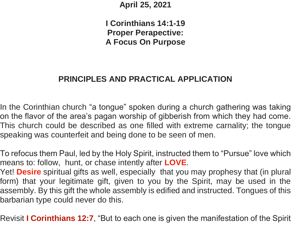**April 25, 2021**

**I Corinthians 14:1-19 Proper Perapective: A Focus On Purpose**

## **PRINCIPLES AND PRACTICAL APPLICATION**

In the Corinthian church "a tongue" spoken during a church gathering was taking on the flavor of the area's pagan worship of gibberish from which they had come. This church could be described as one filled with extreme carnality; the tongue speaking was counterfeit and being done to be seen of men.

To refocus them Paul, led by the Holy Spirit, instructed them to "Pursue" love which means to: follow, hunt, or chase intently after **LOVE**.

Yet! **Desire** spiritual gifts as well, especially that you may prophesy that (in plural form) that your legitimate gift, given to you by the Spirit, may be used in the assembly. By this gift the whole assembly is edified and instructed. Tongues of this barbarian type could never do this.

Revisit **I Corinthians 12:7**, "But to each one is given the manifestation of the Spirit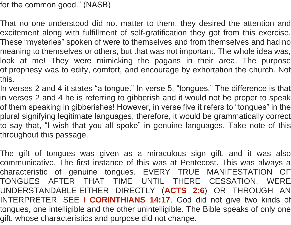for the common good." (NASB)

That no one understood did not matter to them, they desired the attention and excitement along with fulfillment of self-gratification they got from this exercise. These "mysteries" spoken of were to themselves and from themselves and had no meaning to themselves or others, but that was not important. The whole idea was, look at me! They were mimicking the pagans in their area. The purpose of prophesy was to edify, comfort, and encourage by exhortation the church. Not this.

In verses 2 and 4 it states "a tongue." In verse 5, "tongues." The difference is that in verses 2 and 4 he is referring to gibberish and it would not be proper to speak of them speaking in gibberishes! However, in verse five it refers to "tongues" in the plural signifying legitimate languages, therefore, it would be grammatically correct to say that, "I wish that you all spoke" in genuine languages. Take note of this throughout this passage.

The gift of tongues was given as a miraculous sign gift, and it was also communicative. The first instance of this was at Pentecost. This was always a characteristic of genuine tongues. EVERY TRUE MANIFESTATION OF TONGUES AFTER THAT TIME UNTIL THERE CESSATION, WERE UNDERSTANDABLE-EITHER DIRECTLY (**ACTS 2:6**) OR THROUGH AN INTERPRETER, SEE **I CORINTHIANS 14:17**. God did not give two kinds of tongues, one intelligible and the other unintelligible. The Bible speaks of only one gift, whose characteristics and purpose did not change.